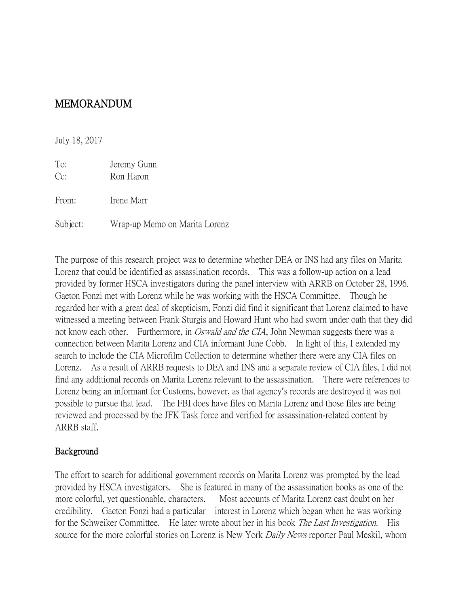## MEMORANDUM

July 18, 2017

To: Jeremy Gunn Cc: Ron Haron From: Irene Marr Subject: Wrap-up Memo on Marita Lorenz

The purpose of this research project was to determine whether DEA or INS had any files on Marita Lorenz that could be identified as assassination records. This was a follow-up action on a lead provided by former HSCA investigators during the panel interview with ARRB on October 28, 1996. Gaeton Fonzi met with Lorenz while he was working with the HSCA Committee. Though he regarded her with a great deal of skepticism, Fonzi did find it significant that Lorenz claimed to have witnessed a meeting between Frank Sturgis and Howard Hunt who had sworn under oath that they did not know each other. Furthermore, in *Oswald and the CIA*, John Newman suggests there was a connection between Marita Lorenz and CIA informant June Cobb. In light of this, I extended my search to include the CIA Microfilm Collection to determine whether there were any CIA files on Lorenz. As a result of ARRB requests to DEA and INS and a separate review of CIA files, I did not find any additional records on Marita Lorenz relevant to the assassination. There were references to Lorenz being an informant for Customs, however, as that agency's records are destroyed it was not possible to pursue that lead. The FBI does have files on Marita Lorenz and those files are being reviewed and processed by the JFK Task force and verified for assassination-related content by ARRB staff.

## Background

The effort to search for additional government records on Marita Lorenz was prompted by the lead provided by HSCA investigators. She is featured in many of the assassination books as one of the more colorful, yet questionable, characters. Most accounts of Marita Lorenz cast doubt on her credibility. Gaeton Fonzi had a particular interest in Lorenz which began when he was working for the Schweiker Committee. He later wrote about her in his book *The Last Investigation*. His source for the more colorful stories on Lorenz is New York *Daily News* reporter Paul Meskil, whom